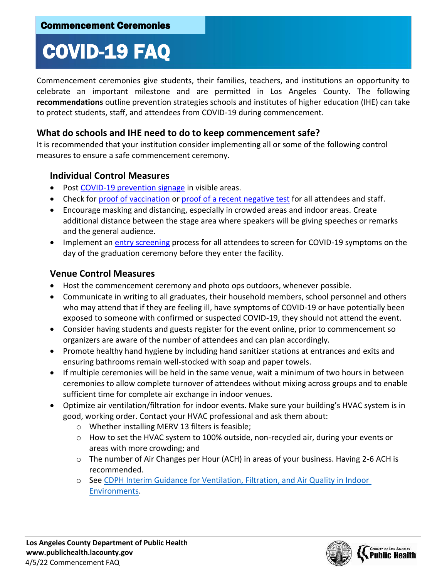# COVID-19 FAQ

Commencement ceremonies give students, their families, teachers, and institutions an opportunity to celebrate an important milestone and are permitted in Los Angeles County. The following **recommendations** outline prevention strategies schools and institutes of higher education (IHE) can take to protect students, staff, and attendees from COVID-19 during commencement.

#### **What do schools and IHE need to do to keep commencement safe?**

It is recommended that your institution consider implementing all or some of the following control measures to ensure a safe commencement ceremony.

#### **Individual Control Measures**

- Post [COVID-19 prevention signage](http://publichealth.lacounty.gov/acd/ncorona2019/BestPractices/#signage) in visible areas.
- Check for [proof of vaccination](http://www.publichealth.lacounty.gov/media/Coronavirus/docs/HOO/Proof_vaccine_card.pdf) or proof of [a recent negative test](http://www.publichealth.lacounty.gov/media/Coronavirus/docs/HOO/Proof_neg_test.pdf) for all attendees and staff.
- Encourage masking and distancing, especially in crowded areas and indoor areas. Create additional distance between the stage area where speakers will be giving speeches or remarks and the general audience.
- Implement an [entry screening](http://publichealth.lacounty.gov/media/Coronavirus/docs/business/EntryScreening.pdf) process for all attendees to screen for COVID-19 symptoms on the day of the graduation ceremony before they enter the facility.

#### **Venue Control Measures**

- Host the commencement ceremony and photo ops outdoors, whenever possible.
- Communicate in writing to all graduates, their household members, school personnel and others who may attend that if they are feeling ill, have symptoms of COVID-19 or have potentially been exposed to someone with confirmed or suspected COVID-19, they should not attend the event.
- Consider having students and guests register for the event online, prior to commencement so organizers are aware of the number of attendees and can plan accordingly.
- Promote healthy hand hygiene by including hand sanitizer stations at entrances and exits and ensuring bathrooms remain well-stocked with soap and paper towels.
- If multiple ceremonies will be held in the same venue, wait a minimum of two hours in between ceremonies to allow complete turnover of attendees without mixing across groups and to enable sufficient time for complete air exchange in indoor venues.
- Optimize air ventilation/filtration for indoor events. Make sure your building's HVAC system is in good, working order. Contact your HVAC professional and ask them about:
	- o Whether installing MERV 13 filters is feasible;
	- $\circ$  How to set the HVAC system to 100% outside, non-recycled air, during your events or areas with more crowding; and
	- $\circ$  The number of Air Changes per Hour (ACH) in areas of your business. Having 2-6 ACH is recommended.
	- o See [CDPH Interim Guidance for Ventilation, Filtration, and Air Quality in Indoor](http://cdph.ca.gov/Programs/CID/DCDC/Pages/COVID-19/Interim-Guidance-for-Ventilation-Filtration-and-Air-Quality-in-Indoor-Environments.aspx)  [Environments.](http://cdph.ca.gov/Programs/CID/DCDC/Pages/COVID-19/Interim-Guidance-for-Ventilation-Filtration-and-Air-Quality-in-Indoor-Environments.aspx)

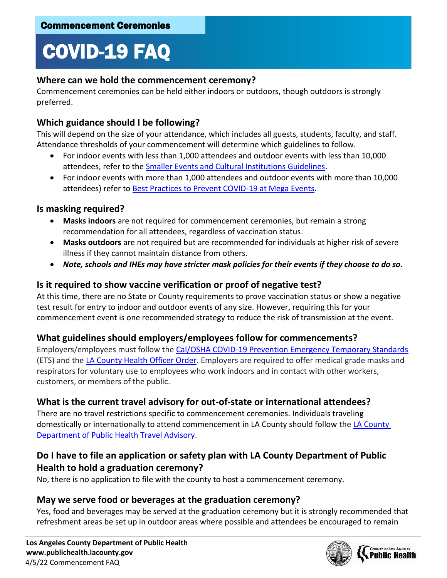# COVID-19 FAQ

#### **Where can we hold the commencement ceremony?**

Commencement ceremonies can be held either indoors or outdoors, though outdoors is strongly preferred.

## **Which guidance should I be following?**

This will depend on the size of your attendance, which includes all guests, students, faculty, and staff. Attendance thresholds of your commencement will determine which guidelines to follow.

- For indoor events with less than 1,000 attendees and outdoor events with less than 10,000 attendees, refer to the [Smaller Events and Cultural Institutions Guidelines.](http://publichealth.lacounty.gov/acd/ncorona2019/bestpractices/venues/)
- For indoor events with more than 1,000 attendees and outdoor events with more than 10,000 attendees) refer to [Best Practices to Prevent COVID-19 at Mega Events.](http://publichealth.lacounty.gov/acd/ncorona2019/BestPractices/LargeEvents/)

### **Is masking required?**

- **Masks indoors** are not required for commencement ceremonies, but remain a strong recommendation for all attendees, regardless of vaccination status.
- **Masks outdoors** are not required but are recommended for individuals at higher risk of severe illness if they cannot maintain distance from others.
- *Note, schools and IHEs may have stricter mask policies for their events if they choose to do so.*

### **Is it required to show vaccine verification or proof of negative test?**

At this time, there are no State or County requirements to prove vaccination status or show a negative test result for entry to indoor and outdoor events of any size. However, requiring this for your commencement event is one recommended strategy to reduce the risk of transmission at the event.

#### **What guidelines should employers/employees follow for commencements?**

Employers/employees must follow the [Cal/OSHA COVID-19 Prevention Emergency Temporary Standards](https://www.dir.ca.gov/dosh/coronavirus/ETS.html) (ETS) and th[e LA County Health Officer Order.](http://www.publichealth.lacounty.gov/media/Coronavirus/docs/HOO/HOO_SaferReturnWorkCommunity.pdf) Employers are required to offer medical grade masks and respirators for voluntary use to employees who work indoors and in contact with other workers, customers, or members of the public.

## **What is the current travel advisory for out-of-state or international attendees?**

There are no travel restrictions specific to commencement ceremonies. Individuals traveling domestically or internationally to attend commencement in [LA County](http://publichealth.lacounty.gov/media/Coronavirus/traveladvisory.htm) should follow the LA County [Department of Public Health Travel Advisory.](http://publichealth.lacounty.gov/media/Coronavirus/traveladvisory.htm)

## **Do I have to file an application or safety plan with LA County Department of Public Health to hold a graduation ceremony?**

No, there is no application to file with the county to host a commencement ceremony.

## **May we serve food or beverages at the graduation ceremony?**

Yes, food and beverages may be served at the graduation ceremony but it is strongly recommended that refreshment areas be set up in outdoor areas where possible and attendees be encouraged to remain